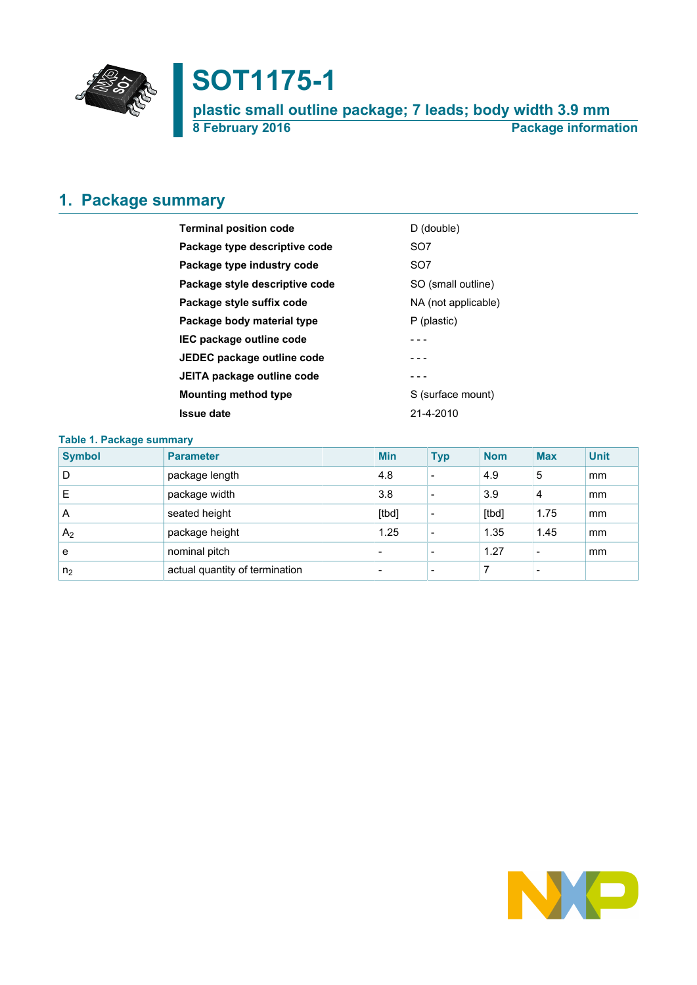

# **SOT1175-1**

**plastic small outline package; 7 leads; body width 3.9 mm 8 February 2016 Package information**

# <span id="page-0-0"></span>**1. Package summary**

| <b>Terminal position code</b>  | D (double)          |
|--------------------------------|---------------------|
| Package type descriptive code  | SO <sub>7</sub>     |
| Package type industry code     | SO <sub>7</sub>     |
| Package style descriptive code | SO (small outline)  |
| Package style suffix code      | NA (not applicable) |
| Package body material type     | P (plastic)         |
| IEC package outline code       |                     |
| JEDEC package outline code     |                     |
| JEITA package outline code     |                     |
| <b>Mounting method type</b>    | S (surface mount)   |
| <b>Issue date</b>              | $21 - 4 - 2010$     |
|                                |                     |

### **Table 1. Package summary**

| <b>Symbol</b>  | <b>Parameter</b>               | <b>Min</b>               | <b>Typ</b>               | <b>Nom</b> | <b>Max</b> | <b>Unit</b> |
|----------------|--------------------------------|--------------------------|--------------------------|------------|------------|-------------|
| D              | package length                 | 4.8                      | $\overline{\phantom{0}}$ | 4.9        | 5          | mm          |
| Е              | package width                  | 3.8                      |                          | 3.9        | 4          | mm          |
| A              | seated height                  | [tbd]                    |                          | [tbd]      | 1.75       | mm          |
| A <sub>2</sub> | package height                 | 1.25                     |                          | 1.35       | 1.45       | mm          |
| e              | nominal pitch                  | $\overline{\phantom{0}}$ |                          | 1.27       |            | mm          |
| n <sub>2</sub> | actual quantity of termination | $\overline{\phantom{0}}$ |                          |            |            |             |

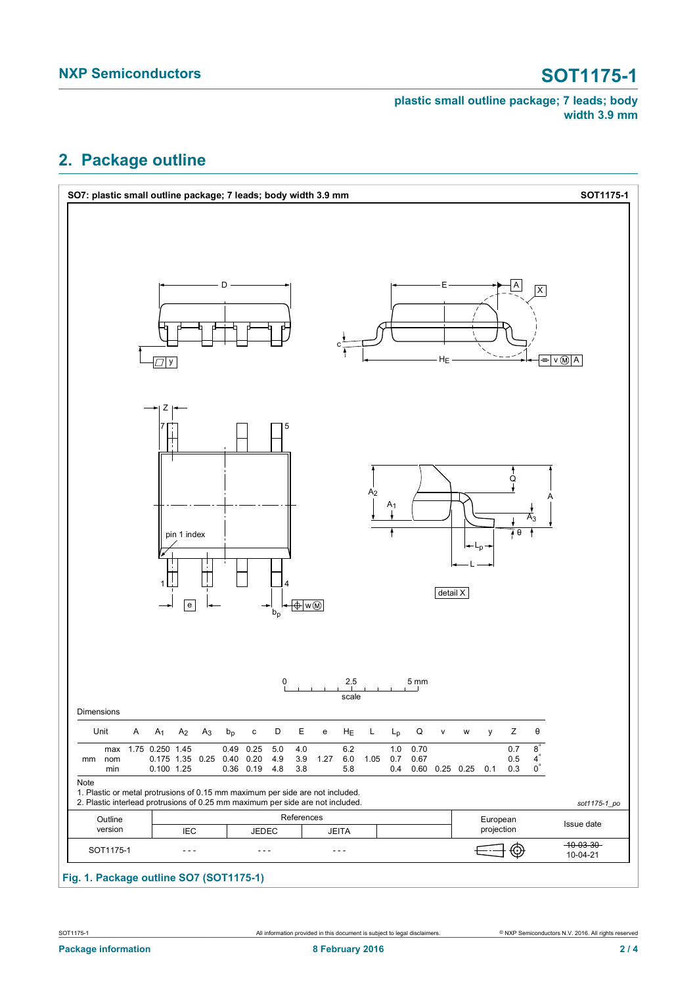### **plastic small outline package; 7 leads; body width 3.9 mm**

# <span id="page-1-0"></span>**2. Package outline**



# **Fig. 1. Package outline SO7 (SOT1175-1)**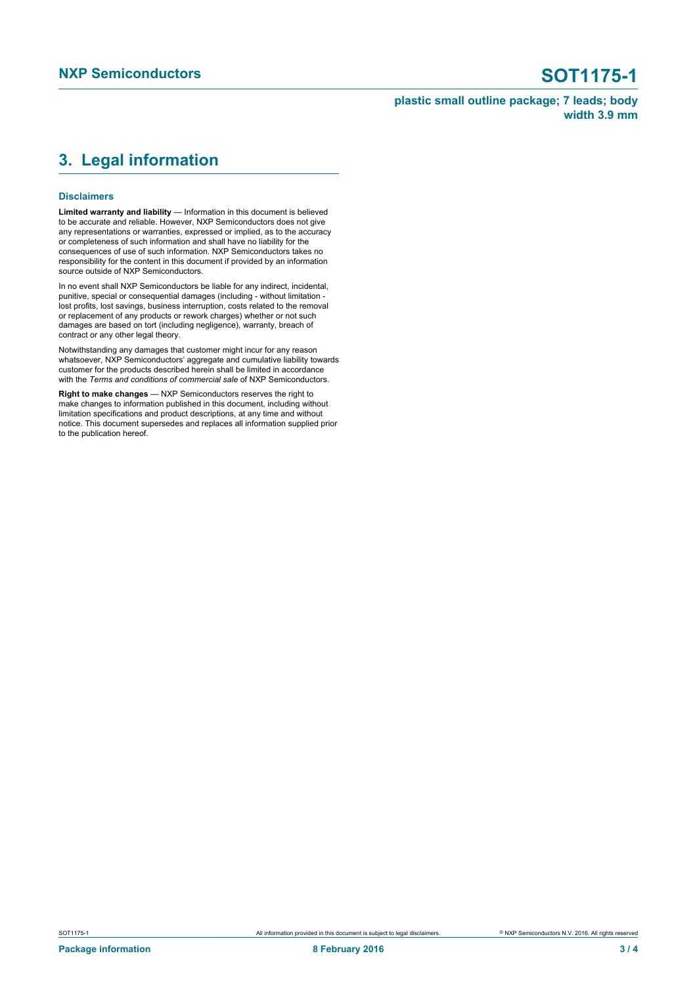### **plastic small outline package; 7 leads; body width 3.9 mm**

# <span id="page-2-0"></span>**3. Legal information**

### **Disclaimers**

**Limited warranty and liability** — Information in this document is believed to be accurate and reliable. However, NXP Semiconductors does not give any representations or warranties, expressed or implied, as to the accuracy or completeness of such information and shall have no liability for the consequences of use of such information. NXP Semiconductors takes no responsibility for the content in this document if provided by an information source outside of NXP Semiconductors.

In no event shall NXP Semiconductors be liable for any indirect, incidental, punitive, special or consequential damages (including - without limitation lost profits, lost savings, business interruption, costs related to the removal or replacement of any products or rework charges) whether or not such damages are based on tort (including negligence), warranty, breach of contract or any other legal theory.

Notwithstanding any damages that customer might incur for any reason whatsoever, NXP Semiconductors' aggregate and cumulative liability towards customer for the products described herein shall be limited in accordance with the *Terms and conditions of commercial sale* of NXP Semiconductors.

**Right to make changes** — NXP Semiconductors reserves the right to make changes to information published in this document, including without limitation specifications and product descriptions, at any time and without notice. This document supersedes and replaces all information supplied prior to the publication hereof.